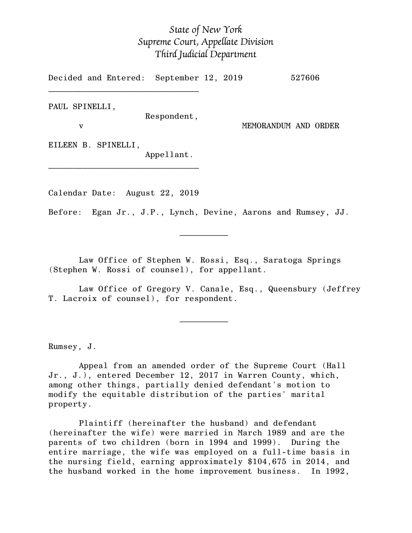## *State of New York Supreme Court, Appellate Division Third Judicial Department*

Decided and Entered: September 12, 2019 527606

PAUL SPINELLI,

Respondent,

v MEMORANDUM AND ORDER

EILEEN B. SPINELLI,

Appellant.

Calendar Date: August 22, 2019

 $\mathcal{L}_\text{max}$  and  $\mathcal{L}_\text{max}$  are the set of  $\mathcal{L}_\text{max}$  . The set of  $\mathcal{L}_\text{max}$ 

 $\mathcal{L}_\text{max}$  and  $\mathcal{L}_\text{max}$  are the set of  $\mathcal{L}_\text{max}$  . The set of  $\mathcal{L}_\text{max}$ 

 $\mathcal{L}_\text{max}$ 

 $\mathcal{L}_\text{max}$ 

Before: Egan Jr., J.P., Lynch, Devine, Aarons and Rumsey, JJ.

Law Office of Stephen W. Rossi, Esq., Saratoga Springs (Stephen W. Rossi of counsel), for appellant.

Law Office of Gregory V. Canale, Esq., Queensbury (Jeffrey T. Lacroix of counsel), for respondent.

Rumsey, J.

Appeal from an amended order of the Supreme Court (Hall Jr., J.), entered December 12, 2017 in Warren County, which, among other things, partially denied defendant's motion to modify the equitable distribution of the parties' marital property.

Plaintiff (hereinafter the husband) and defendant (hereinafter the wife) were married in March 1989 and are the parents of two children (born in 1994 and 1999). During the entire marriage, the wife was employed on a full-time basis in the nursing field, earning approximately \$104,675 in 2014, and the husband worked in the home improvement business. In 1992,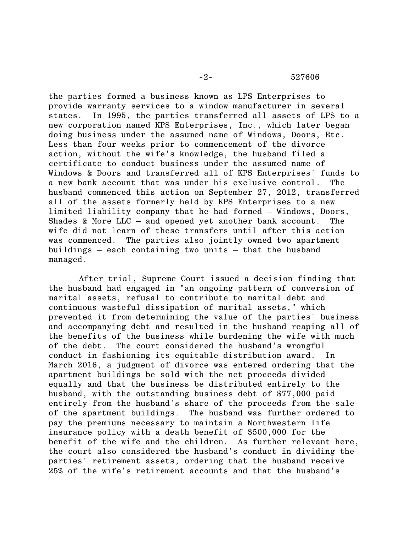## -2- 527606

the parties formed a business known as LPS Enterprises to provide warranty services to a window manufacturer in several states. In 1995, the parties transferred all assets of LPS to a new corporation named KPS Enterprises, Inc., which later began doing business under the assumed name of Windows, Doors, Etc. Less than four weeks prior to commencement of the divorce action, without the wife's knowledge, the husband filed a certificate to conduct business under the assumed name of Windows & Doors and transferred all of KPS Enterprises' funds to a new bank account that was under his exclusive control. The husband commenced this action on September 27, 2012, transferred all of the assets formerly held by KPS Enterprises to a new limited liability company that he had formed – Windows, Doors, Shades & More LLC – and opened yet another bank account. The wife did not learn of these transfers until after this action was commenced. The parties also jointly owned two apartment buildings – each containing two units – that the husband managed.

After trial, Supreme Court issued a decision finding that the husband had engaged in "an ongoing pattern of conversion of marital assets, refusal to contribute to marital debt and continuous wasteful dissipation of marital assets," which prevented it from determining the value of the parties' business and accompanying debt and resulted in the husband reaping all of the benefits of the business while burdening the wife with much of the debt. The court considered the husband's wrongful conduct in fashioning its equitable distribution award. In March 2016, a judgment of divorce was entered ordering that the apartment buildings be sold with the net proceeds divided equally and that the business be distributed entirely to the husband, with the outstanding business debt of \$77,000 paid entirely from the husband's share of the proceeds from the sale of the apartment buildings. The husband was further ordered to pay the premiums necessary to maintain a Northwestern life insurance policy with a death benefit of \$500,000 for the benefit of the wife and the children. As further relevant here, the court also considered the husband's conduct in dividing the parties' retirement assets, ordering that the husband receive 25% of the wife's retirement accounts and that the husband's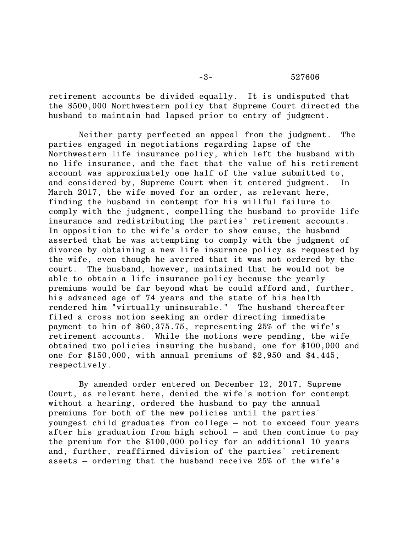retirement accounts be divided equally. It is undisputed that the \$500,000 Northwestern policy that Supreme Court directed the husband to maintain had lapsed prior to entry of judgment.

Neither party perfected an appeal from the judgment. The parties engaged in negotiations regarding lapse of the Northwestern life insurance policy, which left the husband with no life insurance, and the fact that the value of his retirement account was approximately one half of the value submitted to, and considered by, Supreme Court when it entered judgment. In March 2017, the wife moved for an order, as relevant here, finding the husband in contempt for his willful failure to comply with the judgment, compelling the husband to provide life insurance and redistributing the parties' retirement accounts. In opposition to the wife's order to show cause, the husband asserted that he was attempting to comply with the judgment of divorce by obtaining a new life insurance policy as requested by the wife, even though he averred that it was not ordered by the court. The husband, however, maintained that he would not be able to obtain a life insurance policy because the yearly premiums would be far beyond what he could afford and, further, his advanced age of 74 years and the state of his health rendered him "virtually uninsurable." The husband thereafter filed a cross motion seeking an order directing immediate payment to him of \$60,375.75, representing 25% of the wife's retirement accounts. While the motions were pending, the wife obtained two policies insuring the husband, one for \$100,000 and one for \$150,000, with annual premiums of \$2,950 and \$4,445, respectively.

By amended order entered on December 12, 2017, Supreme Court, as relevant here, denied the wife's motion for contempt without a hearing, ordered the husband to pay the annual premiums for both of the new policies until the parties' youngest child graduates from college – not to exceed four years after his graduation from high school – and then continue to pay the premium for the \$100,000 policy for an additional 10 years and, further, reaffirmed division of the parties' retirement assets – ordering that the husband receive 25% of the wife's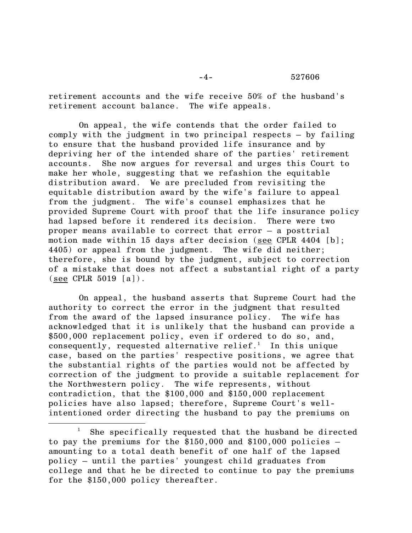-4- 527606

retirement accounts and the wife receive 50% of the husband's retirement account balance. The wife appeals.

On appeal, the wife contends that the order failed to comply with the judgment in two principal respects – by failing to ensure that the husband provided life insurance and by depriving her of the intended share of the parties' retirement accounts. She now argues for reversal and urges this Court to make her whole, suggesting that we refashion the equitable distribution award. We are precluded from revisiting the equitable distribution award by the wife's failure to appeal from the judgment. The wife's counsel emphasizes that he provided Supreme Court with proof that the life insurance policy had lapsed before it rendered its decision. There were two proper means available to correct that error – a posttrial motion made within 15 days after decision (see CPLR 4404 [b]; 4405) or appeal from the judgment. The wife did neither; therefore, she is bound by the judgment, subject to correction of a mistake that does not affect a substantial right of a party  $(\text{see CPLR } 5019 \text{ [a]}).$ 

On appeal, the husband asserts that Supreme Court had the authority to correct the error in the judgment that resulted from the award of the lapsed insurance policy. The wife has acknowledged that it is unlikely that the husband can provide a \$500,000 replacement policy, even if ordered to do so, and, consequently, requested alternative relief.<sup>1</sup> In this unique case, based on the parties' respective positions, we agree that the substantial rights of the parties would not be affected by correction of the judgment to provide a suitable replacement for the Northwestern policy. The wife represents, without contradiction, that the \$100,000 and \$150,000 replacement policies have also lapsed; therefore, Supreme Court's wellintentioned order directing the husband to pay the premiums on

 $\overline{\phantom{a}}$ 

She specifically requested that the husband be directed to pay the premiums for the  $$150,000$  and  $$100,000$  policies  $$ amounting to a total death benefit of one half of the lapsed policy – until the parties' youngest child graduates from college and that he be directed to continue to pay the premiums for the \$150,000 policy thereafter.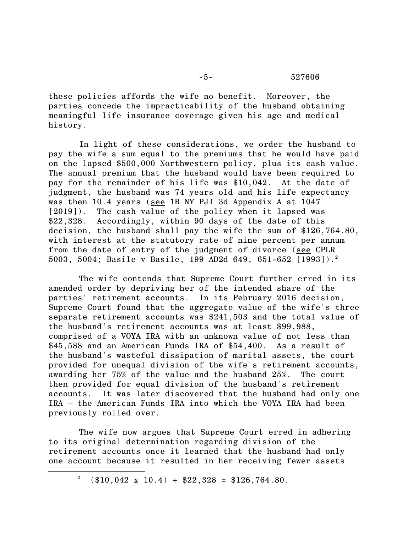## -5- 527606

these policies affords the wife no benefit. Moreover, the parties concede the impracticability of the husband obtaining meaningful life insurance coverage given his age and medical history.

In light of these considerations, we order the husband to pay the wife a sum equal to the premiums that he would have paid on the lapsed \$500,000 Northwestern policy, plus its cash value. The annual premium that the husband would have been required to pay for the remainder of his life was \$10,042. At the date of judgment, the husband was 74 years old and his life expectancy was then 10.4 years (see 1B NY PJI 3d Appendix A at 1047 [2019]). The cash value of the policy when it lapsed was \$22,328. Accordingly, within 90 days of the date of this decision, the husband shall pay the wife the sum of \$126,764.80, with interest at the statutory rate of nine percent per annum from the date of entry of the judgment of divorce (see CPLR 5003, 5004; Basile v Basile, 199 AD2d 649, 651-652 [1993]).<sup>2</sup>

The wife contends that Supreme Court further erred in its amended order by depriving her of the intended share of the parties' retirement accounts. In its February 2016 decision, Supreme Court found that the aggregate value of the wife's three separate retirement accounts was \$241,503 and the total value of the husband's retirement accounts was at least \$99,988, comprised of a VOYA IRA with an unknown value of not less than \$45,588 and an American Funds IRA of \$54,400. As a result of the husband's wasteful dissipation of marital assets, the court provided for unequal division of the wife's retirement accounts, awarding her 75% of the value and the husband 25%. The court then provided for equal division of the husband's retirement accounts. It was later discovered that the husband had only one IRA – the American Funds IRA into which the VOYA IRA had been previously rolled over.

The wife now argues that Supreme Court erred in adhering to its original determination regarding division of the retirement accounts once it learned that the husband had only one account because it resulted in her receiving fewer assets

 $\overline{\phantom{a}}$ 

<sup>&</sup>lt;sup>2</sup> (\$10,042 x 10.4) + \$22,328 = \$126,764.80.